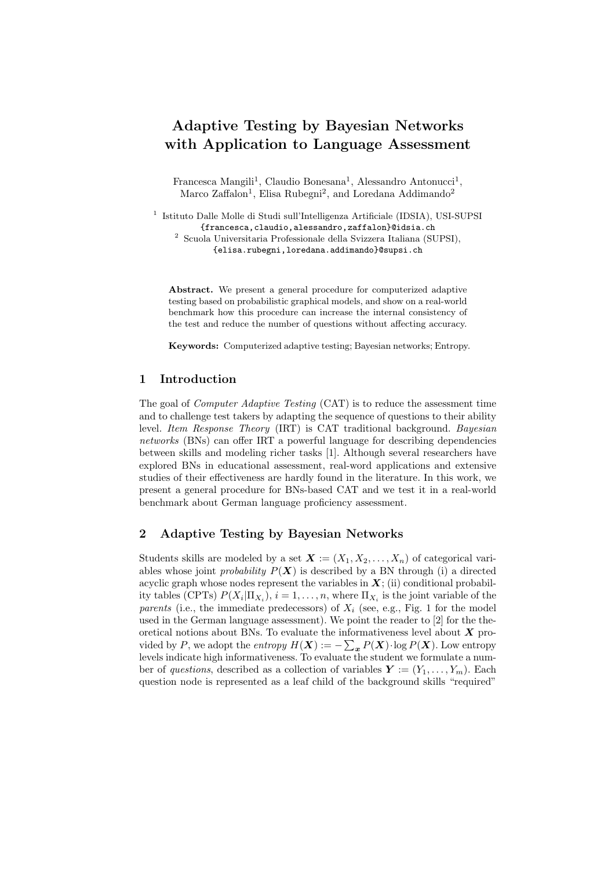# Adaptive Testing by Bayesian Networks with Application to Language Assessment

Francesca Mangili<sup>1</sup>, Claudio Bonesana<sup>1</sup>, Alessandro Antonucci<sup>1</sup>, Marco Zaffalon<sup>1</sup>, Elisa Rubegni<sup>2</sup>, and Loredana Addimando<sup>2</sup>

<sup>1</sup> Istituto Dalle Molle di Studi sull'Intelligenza Artificiale (IDSIA), USI-SUPSI {francesca,claudio,alessandro,zaffalon}@idsia.ch

<sup>2</sup> Scuola Universitaria Professionale della Svizzera Italiana (SUPSI), {elisa.rubegni,loredana.addimando}@supsi.ch

Abstract. We present a general procedure for computerized adaptive testing based on probabilistic graphical models, and show on a real-world benchmark how this procedure can increase the internal consistency of the test and reduce the number of questions without affecting accuracy.

Keywords: Computerized adaptive testing; Bayesian networks; Entropy.

## 1 Introduction

The goal of *Computer Adaptive Testing* (CAT) is to reduce the assessment time and to challenge test takers by adapting the sequence of questions to their ability level. Item Response Theory (IRT) is CAT traditional background. Bayesian networks (BNs) can offer IRT a powerful language for describing dependencies between skills and modeling richer tasks [1]. Although several researchers have explored BNs in educational assessment, real-word applications and extensive studies of their effectiveness are hardly found in the literature. In this work, we present a general procedure for BNs-based CAT and we test it in a real-world benchmark about German language proficiency assessment.

### 2 Adaptive Testing by Bayesian Networks

Students skills are modeled by a set  $\mathbf{X} := (X_1, X_2, \ldots, X_n)$  of categorical variables whose joint *probability*  $P(X)$  is described by a BN through (i) a directed acyclic graph whose nodes represent the variables in  $X$ ; (ii) conditional probability tables (CPTs)  $P(X_i | \Pi_{X_i}), i = 1, ..., n$ , where  $\Pi_{X_i}$  is the joint variable of the parents (i.e., the immediate predecessors) of  $X_i$  (see, e.g., Fig. 1 for the model used in the German language assessment). We point the reader to [2] for the theoretical notions about BNs. To evaluate the informativeness level about  $X$  provided by P, we adopt the *entropy*  $H(\boldsymbol{X}) := -\sum_{\boldsymbol{x}} P(\boldsymbol{X}) \cdot \log P(\boldsymbol{X})$ . Low entropy levels indicate high informativeness. To evaluate the student we formulate a number of questions, described as a collection of variables  $\mathbf{Y} := (Y_1, \ldots, Y_m)$ . Each question node is represented as a leaf child of the background skills "required"